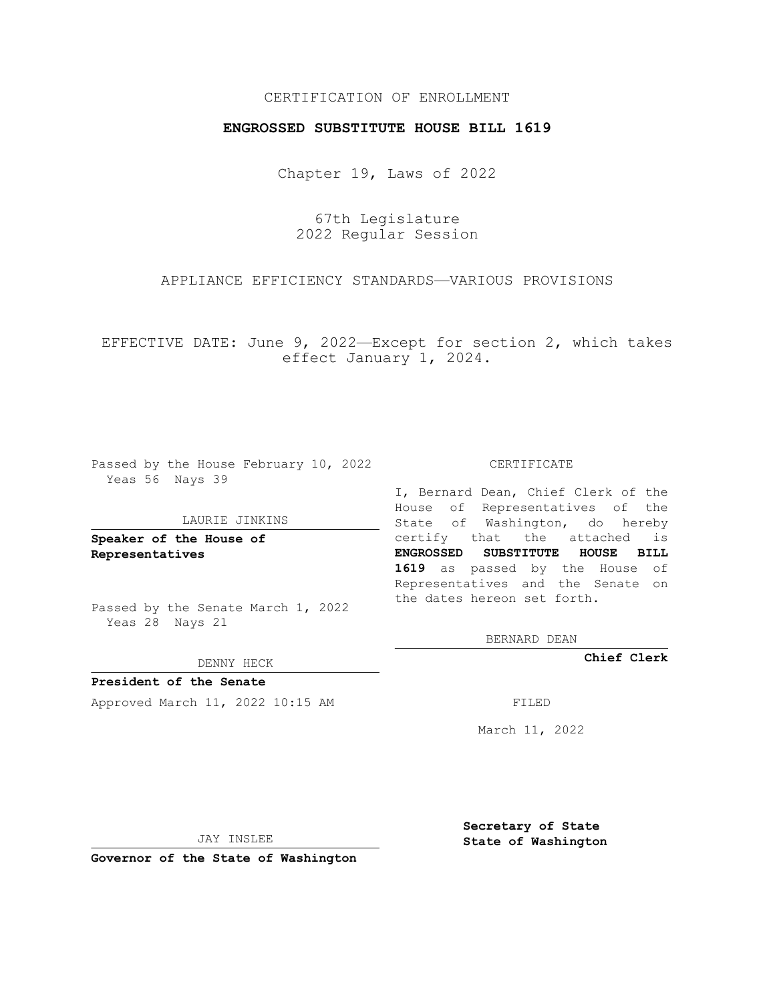# CERTIFICATION OF ENROLLMENT

## **ENGROSSED SUBSTITUTE HOUSE BILL 1619**

Chapter 19, Laws of 2022

67th Legislature 2022 Regular Session

# APPLIANCE EFFICIENCY STANDARDS—VARIOUS PROVISIONS

EFFECTIVE DATE: June 9, 2022—Except for section 2, which takes effect January 1, 2024.

Passed by the House February 10, 2022 Yeas 56 Nays 39

#### LAURIE JINKINS

**Speaker of the House of Representatives**

Passed by the Senate March 1, 2022 Yeas 28 Nays 21

DENNY HECK

**President of the Senate** Approved March 11, 2022 10:15 AM FILED

CERTIFICATE

I, Bernard Dean, Chief Clerk of the House of Representatives of the State of Washington, do hereby certify that the attached is **ENGROSSED SUBSTITUTE HOUSE BILL 1619** as passed by the House of Representatives and the Senate on the dates hereon set forth.

BERNARD DEAN

**Chief Clerk**

March 11, 2022

JAY INSLEE

**Governor of the State of Washington**

**Secretary of State State of Washington**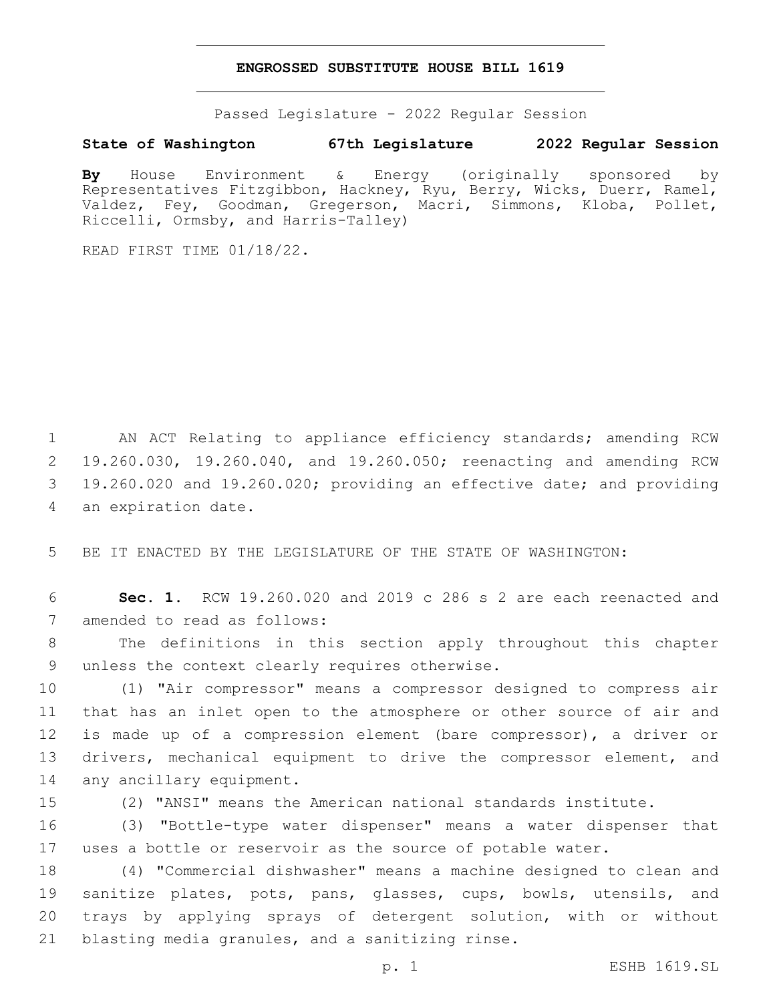### **ENGROSSED SUBSTITUTE HOUSE BILL 1619**

Passed Legislature - 2022 Regular Session

# **State of Washington 67th Legislature 2022 Regular Session**

**By** House Environment & Energy (originally sponsored by Representatives Fitzgibbon, Hackney, Ryu, Berry, Wicks, Duerr, Ramel, Valdez, Fey, Goodman, Gregerson, Macri, Simmons, Kloba, Pollet, Riccelli, Ormsby, and Harris-Talley)

READ FIRST TIME 01/18/22.

 AN ACT Relating to appliance efficiency standards; amending RCW 19.260.030, 19.260.040, and 19.260.050; reenacting and amending RCW 19.260.020 and 19.260.020; providing an effective date; and providing 4 an expiration date.

5 BE IT ENACTED BY THE LEGISLATURE OF THE STATE OF WASHINGTON:

6 **Sec. 1.** RCW 19.260.020 and 2019 c 286 s 2 are each reenacted and 7 amended to read as follows:

8 The definitions in this section apply throughout this chapter 9 unless the context clearly requires otherwise.

10 (1) "Air compressor" means a compressor designed to compress air 11 that has an inlet open to the atmosphere or other source of air and 12 is made up of a compression element (bare compressor), a driver or 13 drivers, mechanical equipment to drive the compressor element, and 14 any ancillary equipment.

15 (2) "ANSI" means the American national standards institute.

16 (3) "Bottle-type water dispenser" means a water dispenser that 17 uses a bottle or reservoir as the source of potable water.

 (4) "Commercial dishwasher" means a machine designed to clean and sanitize plates, pots, pans, glasses, cups, bowls, utensils, and trays by applying sprays of detergent solution, with or without 21 blasting media granules, and a sanitizing rinse.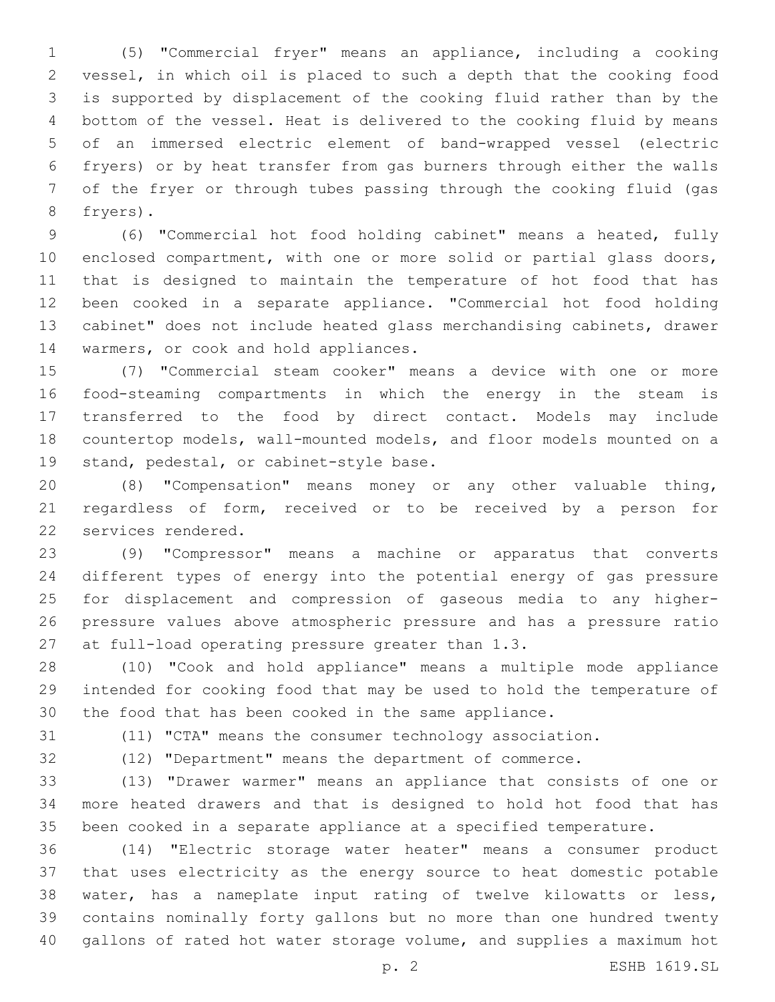(5) "Commercial fryer" means an appliance, including a cooking vessel, in which oil is placed to such a depth that the cooking food is supported by displacement of the cooking fluid rather than by the bottom of the vessel. Heat is delivered to the cooking fluid by means of an immersed electric element of band-wrapped vessel (electric fryers) or by heat transfer from gas burners through either the walls of the fryer or through tubes passing through the cooking fluid (gas 8 fryers).

 (6) "Commercial hot food holding cabinet" means a heated, fully enclosed compartment, with one or more solid or partial glass doors, that is designed to maintain the temperature of hot food that has been cooked in a separate appliance. "Commercial hot food holding cabinet" does not include heated glass merchandising cabinets, drawer 14 warmers, or cook and hold appliances.

 (7) "Commercial steam cooker" means a device with one or more food-steaming compartments in which the energy in the steam is transferred to the food by direct contact. Models may include countertop models, wall-mounted models, and floor models mounted on a 19 stand, pedestal, or cabinet-style base.

 (8) "Compensation" means money or any other valuable thing, regardless of form, received or to be received by a person for 22 services rendered.

 (9) "Compressor" means a machine or apparatus that converts different types of energy into the potential energy of gas pressure for displacement and compression of gaseous media to any higher- pressure values above atmospheric pressure and has a pressure ratio 27 at full-load operating pressure greater than 1.3.

 (10) "Cook and hold appliance" means a multiple mode appliance intended for cooking food that may be used to hold the temperature of the food that has been cooked in the same appliance.

(11) "CTA" means the consumer technology association.

(12) "Department" means the department of commerce.

 (13) "Drawer warmer" means an appliance that consists of one or more heated drawers and that is designed to hold hot food that has been cooked in a separate appliance at a specified temperature.

 (14) "Electric storage water heater" means a consumer product that uses electricity as the energy source to heat domestic potable water, has a nameplate input rating of twelve kilowatts or less, contains nominally forty gallons but no more than one hundred twenty gallons of rated hot water storage volume, and supplies a maximum hot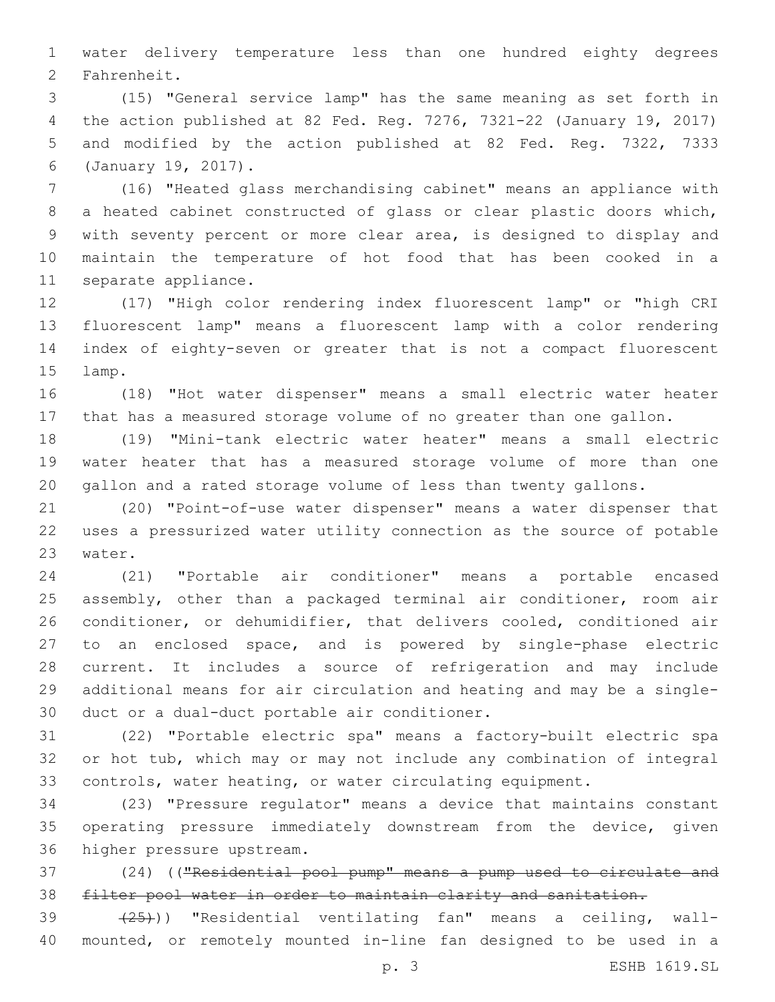water delivery temperature less than one hundred eighty degrees 2 Fahrenheit.

 (15) "General service lamp" has the same meaning as set forth in the action published at 82 Fed. Reg. 7276, 7321-22 (January 19, 2017) and modified by the action published at 82 Fed. Reg. 7322, 7333 (January 19, 2017).6

 (16) "Heated glass merchandising cabinet" means an appliance with a heated cabinet constructed of glass or clear plastic doors which, with seventy percent or more clear area, is designed to display and maintain the temperature of hot food that has been cooked in a 11 separate appliance.

 (17) "High color rendering index fluorescent lamp" or "high CRI fluorescent lamp" means a fluorescent lamp with a color rendering index of eighty-seven or greater that is not a compact fluorescent 15 lamp.

 (18) "Hot water dispenser" means a small electric water heater that has a measured storage volume of no greater than one gallon.

 (19) "Mini-tank electric water heater" means a small electric water heater that has a measured storage volume of more than one gallon and a rated storage volume of less than twenty gallons.

 (20) "Point-of-use water dispenser" means a water dispenser that uses a pressurized water utility connection as the source of potable 23 water.

 (21) "Portable air conditioner" means a portable encased assembly, other than a packaged terminal air conditioner, room air conditioner, or dehumidifier, that delivers cooled, conditioned air to an enclosed space, and is powered by single-phase electric current. It includes a source of refrigeration and may include additional means for air circulation and heating and may be a single-30 duct or a dual-duct portable air conditioner.

 (22) "Portable electric spa" means a factory-built electric spa or hot tub, which may or may not include any combination of integral controls, water heating, or water circulating equipment.

 (23) "Pressure regulator" means a device that maintains constant operating pressure immediately downstream from the device, given 36 higher pressure upstream.

 (24) (("Residential pool pump" means a pump used to circulate and filter pool water in order to maintain clarity and sanitation.

39 (25)) "Residential ventilating fan" means a ceiling, wall-mounted, or remotely mounted in-line fan designed to be used in a

p. 3 ESHB 1619.SL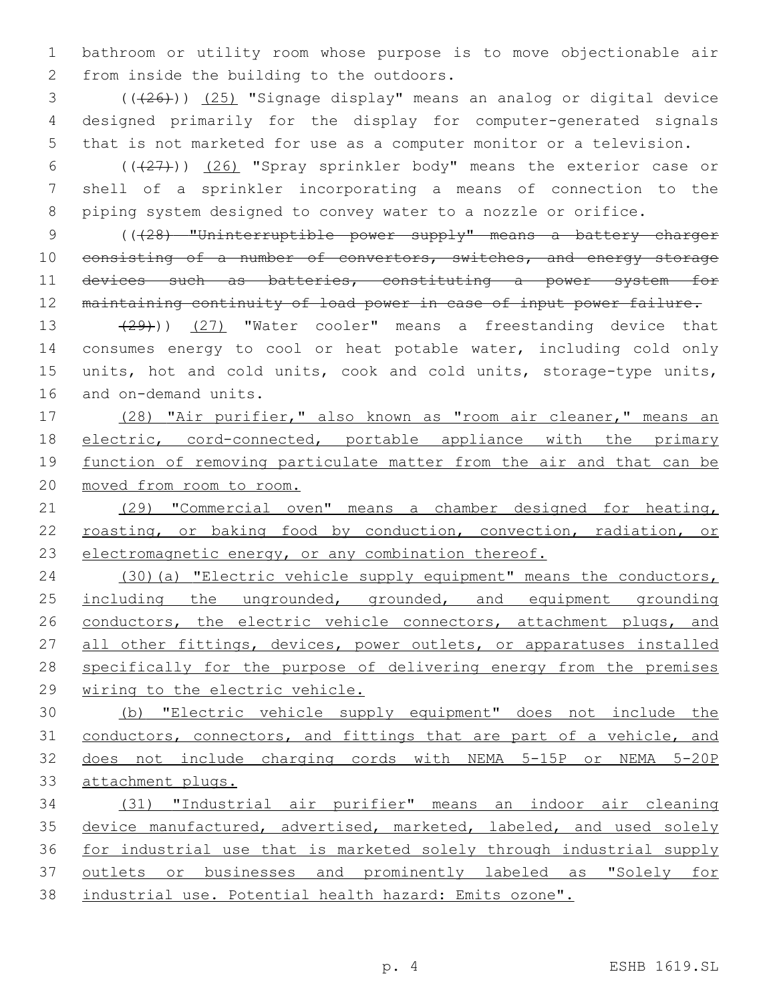bathroom or utility room whose purpose is to move objectionable air 2 from inside the building to the outdoors.

 ( $(\overline{+26})$ )  $(25)$  "Signage display" means an analog or digital device designed primarily for the display for computer-generated signals that is not marketed for use as a computer monitor or a television.

 (((27))) (26) "Spray sprinkler body" means the exterior case or shell of a sprinkler incorporating a means of connection to the piping system designed to convey water to a nozzle or orifice.

 (((28) "Uninterruptible power supply" means a battery charger 10 consisting of a number of convertors, switches, and energy storage 11 devices such as batteries, constituting a power system for maintaining continuity of load power in case of input power failure.

13 (29))) (27) "Water cooler" means a freestanding device that consumes energy to cool or heat potable water, including cold only units, hot and cold units, cook and cold units, storage-type units, 16 and on-demand units.

 (28) "Air purifier," also known as "room air cleaner," means an electric, cord-connected, portable appliance with the primary 19 function of removing particulate matter from the air and that can be moved from room to room.

 (29) "Commercial oven" means a chamber designed for heating, 22 roasting, or baking food by conduction, convection, radiation, or electromagnetic energy, or any combination thereof.

 (30)(a) "Electric vehicle supply equipment" means the conductors, 25 including the ungrounded, grounded, and equipment grounding 26 conductors, the electric vehicle connectors, attachment plugs, and 27 all other fittings, devices, power outlets, or apparatuses installed specifically for the purpose of delivering energy from the premises wiring to the electric vehicle.

 (b) "Electric vehicle supply equipment" does not include the conductors, connectors, and fittings that are part of a vehicle, and does not include charging cords with NEMA 5-15P or NEMA 5-20P attachment plugs.

 (31) "Industrial air purifier" means an indoor air cleaning 35 device manufactured, advertised, marketed, labeled, and used solely for industrial use that is marketed solely through industrial supply 37 outlets or businesses and prominently labeled as "Solely for industrial use. Potential health hazard: Emits ozone".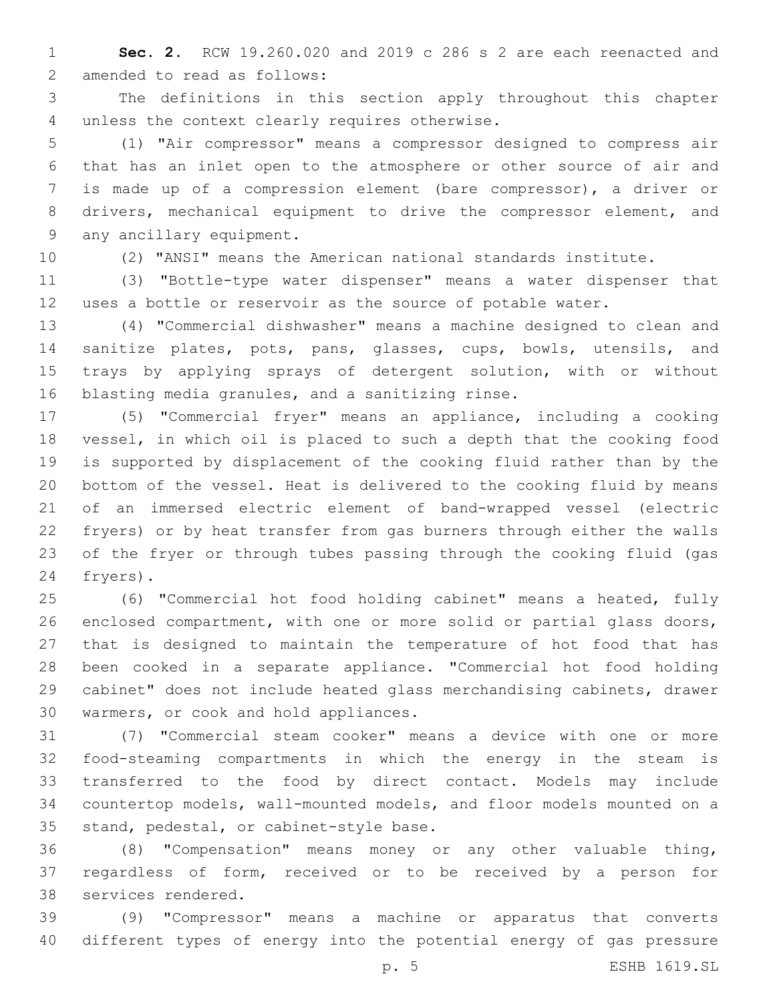**Sec. 2.** RCW 19.260.020 and 2019 c 286 s 2 are each reenacted and 2 amended to read as follows:

 The definitions in this section apply throughout this chapter 4 unless the context clearly requires otherwise.

 (1) "Air compressor" means a compressor designed to compress air that has an inlet open to the atmosphere or other source of air and is made up of a compression element (bare compressor), a driver or drivers, mechanical equipment to drive the compressor element, and 9 any ancillary equipment.

(2) "ANSI" means the American national standards institute.

 (3) "Bottle-type water dispenser" means a water dispenser that uses a bottle or reservoir as the source of potable water.

 (4) "Commercial dishwasher" means a machine designed to clean and sanitize plates, pots, pans, glasses, cups, bowls, utensils, and trays by applying sprays of detergent solution, with or without 16 blasting media granules, and a sanitizing rinse.

 (5) "Commercial fryer" means an appliance, including a cooking vessel, in which oil is placed to such a depth that the cooking food is supported by displacement of the cooking fluid rather than by the bottom of the vessel. Heat is delivered to the cooking fluid by means of an immersed electric element of band-wrapped vessel (electric fryers) or by heat transfer from gas burners through either the walls of the fryer or through tubes passing through the cooking fluid (gas 24 fryers).

 (6) "Commercial hot food holding cabinet" means a heated, fully enclosed compartment, with one or more solid or partial glass doors, that is designed to maintain the temperature of hot food that has been cooked in a separate appliance. "Commercial hot food holding cabinet" does not include heated glass merchandising cabinets, drawer 30 warmers, or cook and hold appliances.

 (7) "Commercial steam cooker" means a device with one or more food-steaming compartments in which the energy in the steam is transferred to the food by direct contact. Models may include countertop models, wall-mounted models, and floor models mounted on a 35 stand, pedestal, or cabinet-style base.

 (8) "Compensation" means money or any other valuable thing, regardless of form, received or to be received by a person for 38 services rendered.

 (9) "Compressor" means a machine or apparatus that converts different types of energy into the potential energy of gas pressure

p. 5 ESHB 1619.SL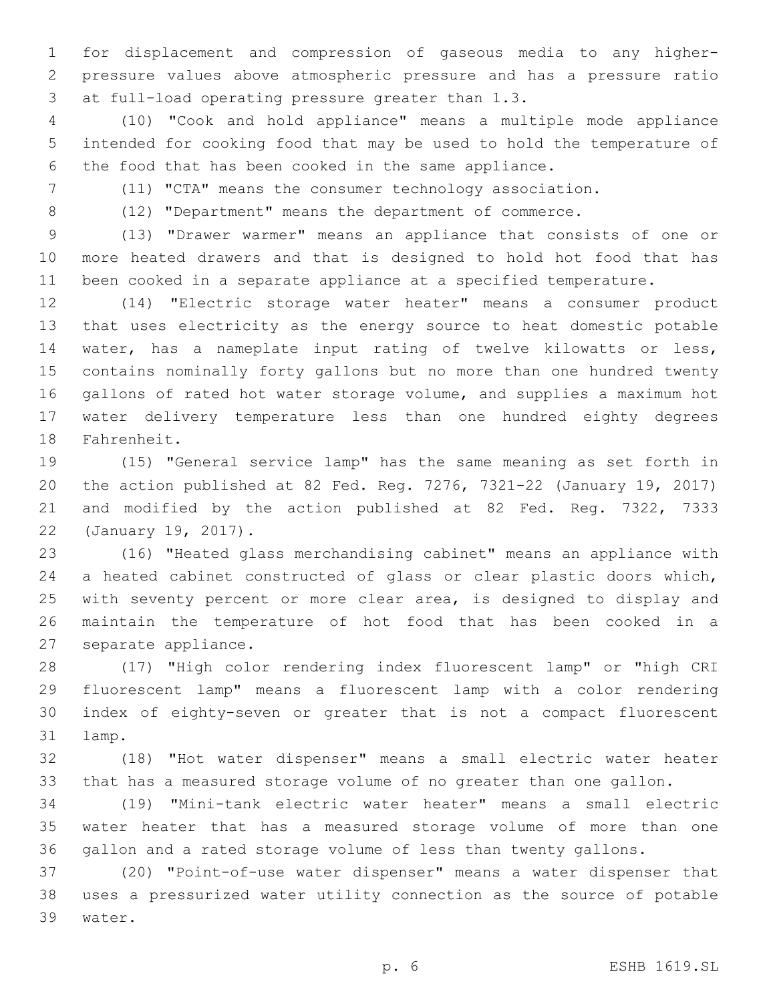for displacement and compression of gaseous media to any higher- pressure values above atmospheric pressure and has a pressure ratio 3 at full-load operating pressure greater than 1.3.

 (10) "Cook and hold appliance" means a multiple mode appliance intended for cooking food that may be used to hold the temperature of the food that has been cooked in the same appliance.

(11) "CTA" means the consumer technology association.

(12) "Department" means the department of commerce.

 (13) "Drawer warmer" means an appliance that consists of one or more heated drawers and that is designed to hold hot food that has been cooked in a separate appliance at a specified temperature.

 (14) "Electric storage water heater" means a consumer product that uses electricity as the energy source to heat domestic potable water, has a nameplate input rating of twelve kilowatts or less, contains nominally forty gallons but no more than one hundred twenty gallons of rated hot water storage volume, and supplies a maximum hot water delivery temperature less than one hundred eighty degrees 18 Fahrenheit.

 (15) "General service lamp" has the same meaning as set forth in the action published at 82 Fed. Reg. 7276, 7321-22 (January 19, 2017) and modified by the action published at 82 Fed. Reg. 7322, 7333 22 (January 19, 2017).

 (16) "Heated glass merchandising cabinet" means an appliance with a heated cabinet constructed of glass or clear plastic doors which, with seventy percent or more clear area, is designed to display and maintain the temperature of hot food that has been cooked in a 27 separate appliance.

 (17) "High color rendering index fluorescent lamp" or "high CRI fluorescent lamp" means a fluorescent lamp with a color rendering index of eighty-seven or greater that is not a compact fluorescent 31 lamp.

 (18) "Hot water dispenser" means a small electric water heater that has a measured storage volume of no greater than one gallon.

 (19) "Mini-tank electric water heater" means a small electric water heater that has a measured storage volume of more than one gallon and a rated storage volume of less than twenty gallons.

 (20) "Point-of-use water dispenser" means a water dispenser that uses a pressurized water utility connection as the source of potable 39 water.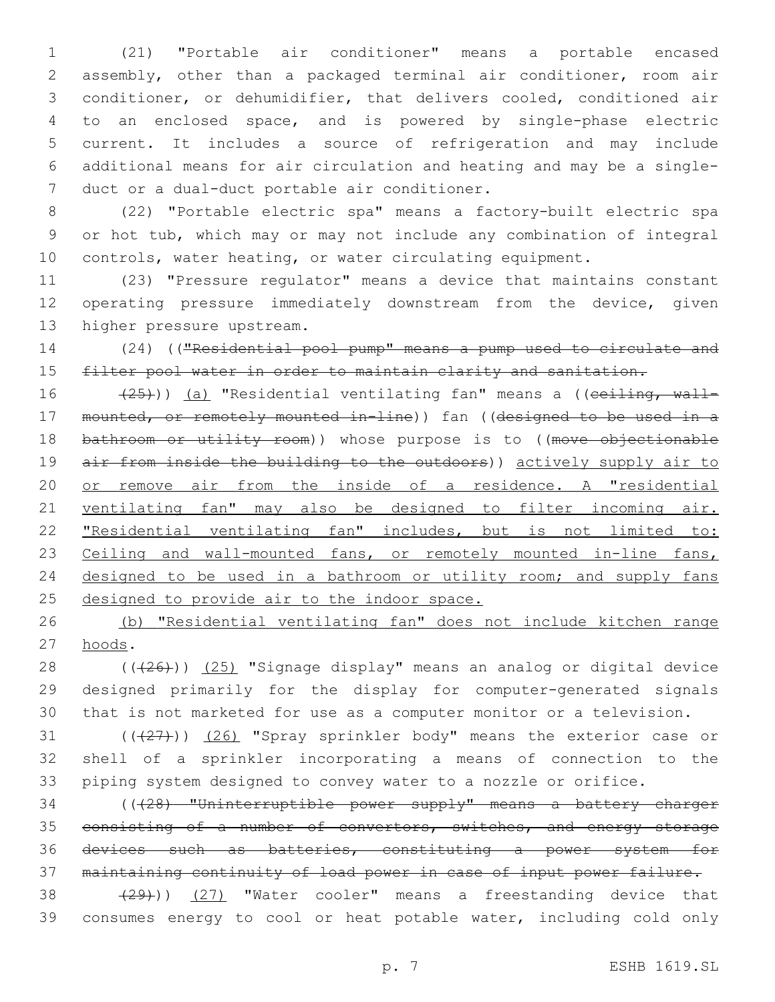(21) "Portable air conditioner" means a portable encased assembly, other than a packaged terminal air conditioner, room air conditioner, or dehumidifier, that delivers cooled, conditioned air to an enclosed space, and is powered by single-phase electric current. It includes a source of refrigeration and may include additional means for air circulation and heating and may be a single-7 duct or a dual-duct portable air conditioner.

 (22) "Portable electric spa" means a factory-built electric spa or hot tub, which may or may not include any combination of integral controls, water heating, or water circulating equipment.

 (23) "Pressure regulator" means a device that maintains constant operating pressure immediately downstream from the device, given 13 higher pressure upstream.

 (24) (("Residential pool pump" means a pump used to circulate and 15 filter pool water in order to maintain clarity and sanitation.

16 (25))) (a) "Residential ventilating fan" means a ((ceiling, wall- mounted, or remotely mounted in-line)) fan ((designed to be used in a 18 bathroom or utility room)) whose purpose is to ((move objectionable 19 air from inside the building to the outdoors)) actively supply air to or remove air from the inside of a residence. A "residential ventilating fan" may also be designed to filter incoming air. "Residential ventilating fan" includes, but is not limited to: 23 Ceiling and wall-mounted fans, or remotely mounted in-line fans, 24 designed to be used in a bathroom or utility room; and supply fans 25 designed to provide air to the indoor space.

 (b) "Residential ventilating fan" does not include kitchen range 27 hoods.

28 ((+26))) (25) "Signage display" means an analog or digital device designed primarily for the display for computer-generated signals that is not marketed for use as a computer monitor or a television.

31 (((27))) (26) "Spray sprinkler body" means the exterior case or shell of a sprinkler incorporating a means of connection to the piping system designed to convey water to a nozzle or orifice.

 (((28) "Uninterruptible power supply" means a battery charger 35 consisting of a number of convertors, switches, and energy storage devices such as batteries, constituting a power system for maintaining continuity of load power in case of input power failure.

38 (29))) (27) "Water cooler" means a freestanding device that consumes energy to cool or heat potable water, including cold only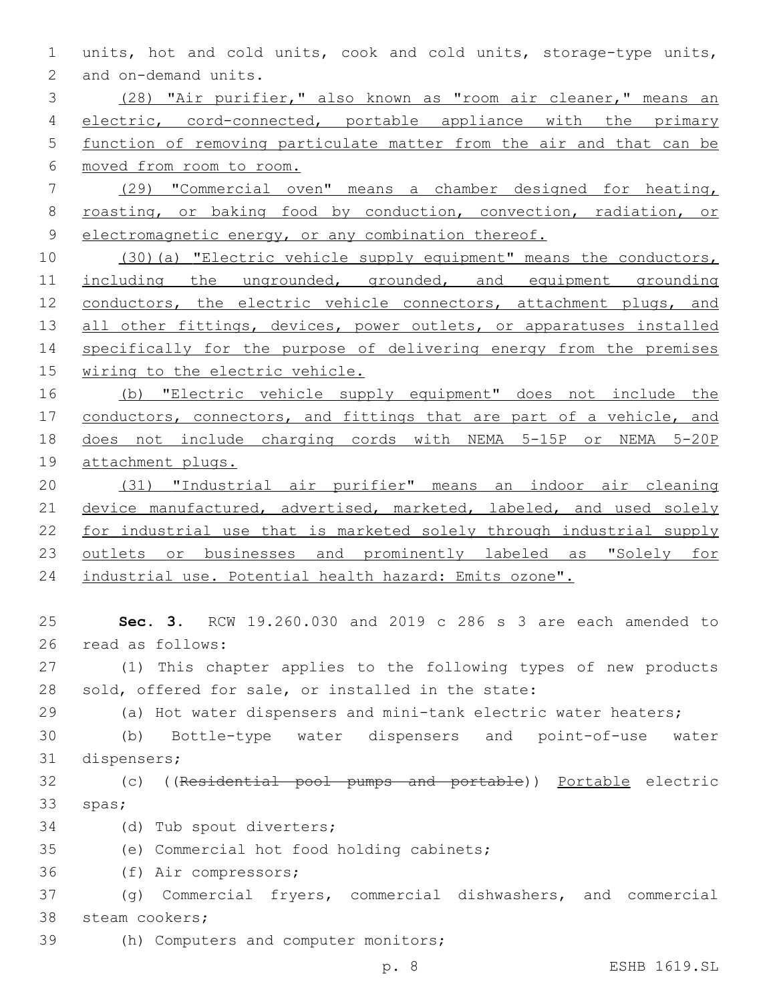1 units, hot and cold units, cook and cold units, storage-type units, 2 and on-demand units.

 (28) "Air purifier," also known as "room air cleaner," means an 4 electric, cord-connected, portable appliance with the primary function of removing particulate matter from the air and that can be moved from room to room.

7 (29) "Commercial oven" means a chamber designed for heating, 8 roasting, or baking food by conduction, convection, radiation, or 9 electromagnetic energy, or any combination thereof.

10 (30)(a) "Electric vehicle supply equipment" means the conductors, 11 including the ungrounded, grounded, and equipment grounding 12 conductors, the electric vehicle connectors, attachment plugs, and 13 all other fittings, devices, power outlets, or apparatuses installed 14 specifically for the purpose of delivering energy from the premises 15 wiring to the electric vehicle.

 (b) "Electric vehicle supply equipment" does not include the 17 conductors, connectors, and fittings that are part of a vehicle, and does not include charging cords with NEMA 5-15P or NEMA 5-20P attachment plugs.

20 (31) "Industrial air purifier" means an indoor air cleaning 21 device manufactured, advertised, marketed, labeled, and used solely 22 for industrial use that is marketed solely through industrial supply 23 <u>outlets or businesses and prominently labeled as "Solely for</u> 24 industrial use. Potential health hazard: Emits ozone".

25 **Sec. 3.** RCW 19.260.030 and 2019 c 286 s 3 are each amended to 26 read as follows:

27 (1) This chapter applies to the following types of new products 28 sold, offered for sale, or installed in the state:

29 (a) Hot water dispensers and mini-tank electric water heaters;

30 (b) Bottle-type water dispensers and point-of-use water 31 dispensers;

32 (c) ((Residential pool pumps and portable)) Portable electric 33 spas;

34 (d) Tub spout diverters;

35 (e) Commercial hot food holding cabinets;

36 (f) Air compressors;

37 (g) Commercial fryers, commercial dishwashers, and commercial 38 steam cookers;

39 (h) Computers and computer monitors;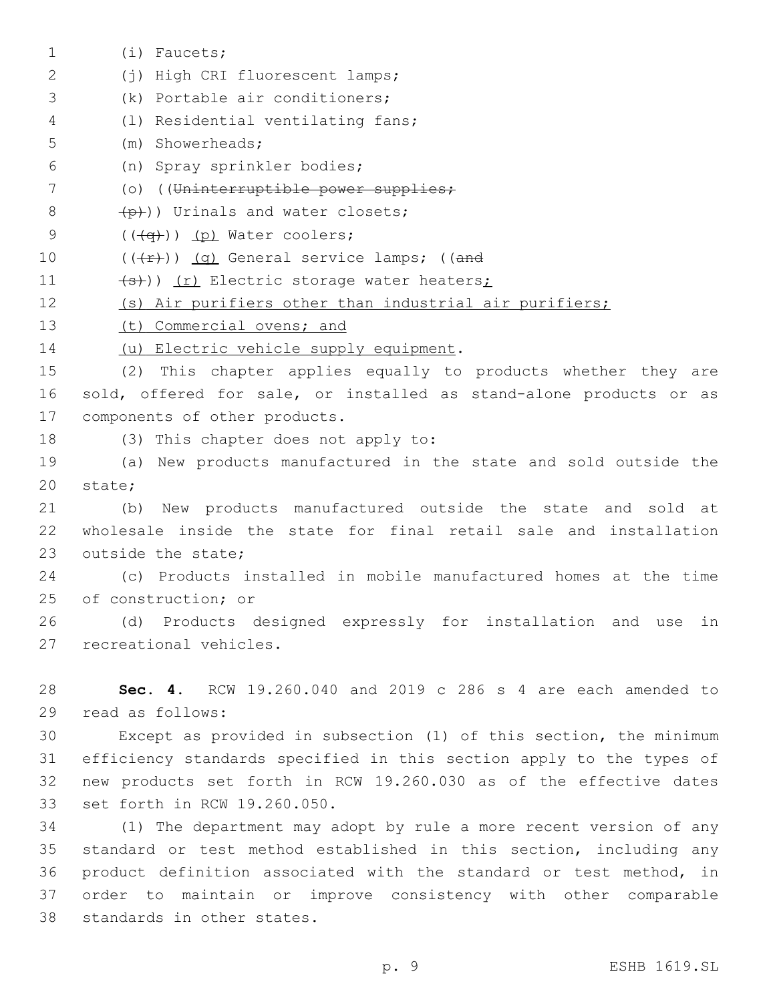(i) Faucets;1 (j) High CRI fluorescent lamps;2 3 (k) Portable air conditioners; (l) Residential ventilating fans;4 (m) Showerheads;5 (n) Spray sprinkler bodies;6 7 (o) ((Uninterruptible power supplies;  $\left(\frac{p}{p}\right)$ ) Urinals and water closets;  $($   $((\neg \rightarrow))$   $(p)$  Water coolers; 10  $((+r))$   $(q)$  General service lamps; ((and 11 (s)) (r) Electric storage water heaters; 12 (s) Air purifiers other than industrial air purifiers; 13 (t) Commercial ovens; and 14 (u) Electric vehicle supply equipment. 15 (2) This chapter applies equally to products whether they are 16 sold, offered for sale, or installed as stand-alone products or as 17 components of other products. 18 (3) This chapter does not apply to: 19 (a) New products manufactured in the state and sold outside the 20 state; 21 (b) New products manufactured outside the state and sold at 22 wholesale inside the state for final retail sale and installation 23 outside the state: 24 (c) Products installed in mobile manufactured homes at the time 25 of construction; or 26 (d) Products designed expressly for installation and use in 27 recreational vehicles. 28 **Sec. 4.** RCW 19.260.040 and 2019 c 286 s 4 are each amended to 29 read as follows: 30 Except as provided in subsection (1) of this section, the minimum 31 efficiency standards specified in this section apply to the types of 32 new products set forth in RCW 19.260.030 as of the effective dates 33 set forth in RCW 19.260.050. 34 (1) The department may adopt by rule a more recent version of any 35 standard or test method established in this section, including any

36 product definition associated with the standard or test method, in 37 order to maintain or improve consistency with other comparable 38 standards in other states.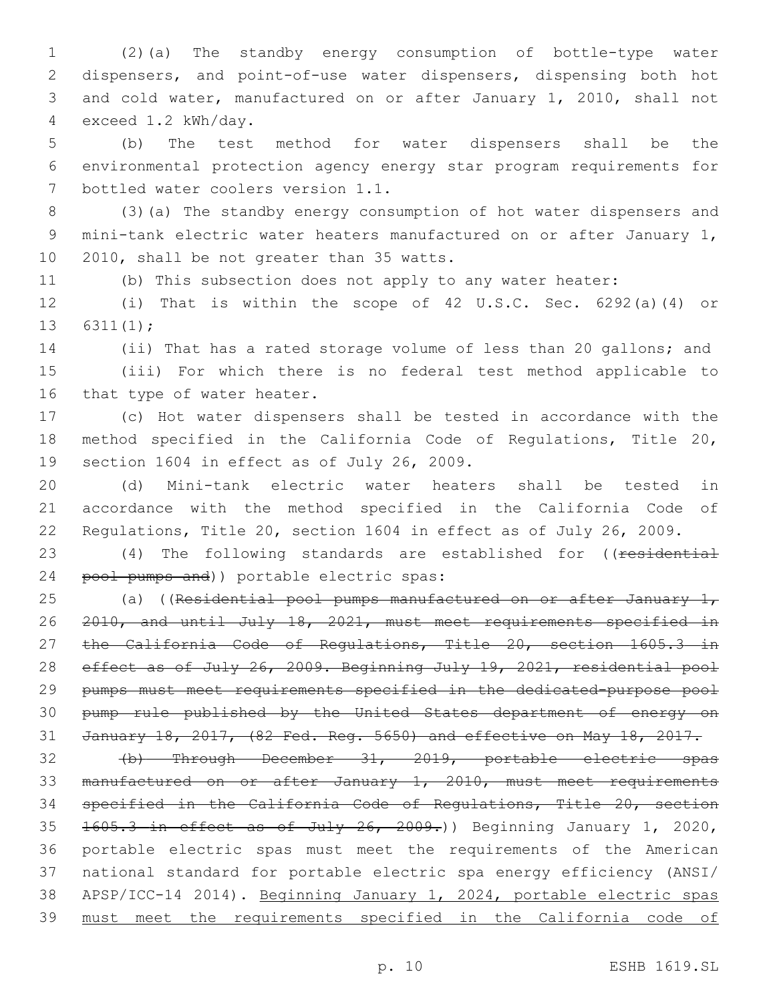(2)(a) The standby energy consumption of bottle-type water dispensers, and point-of-use water dispensers, dispensing both hot and cold water, manufactured on or after January 1, 2010, shall not exceed 1.2 kWh/day.4

 (b) The test method for water dispensers shall be the environmental protection agency energy star program requirements for 7 bottled water coolers version 1.1.

 (3)(a) The standby energy consumption of hot water dispensers and mini-tank electric water heaters manufactured on or after January 1, 10 2010, shall be not greater than 35 watts.

(b) This subsection does not apply to any water heater:

 (i) That is within the scope of 42 U.S.C. Sec. 6292(a)(4) or 13  $6311(1)$ ;

 (ii) That has a rated storage volume of less than 20 gallons; and (iii) For which there is no federal test method applicable to 16 that type of water heater.

 (c) Hot water dispensers shall be tested in accordance with the method specified in the California Code of Regulations, Title 20, 19 section 1604 in effect as of July 26, 2009.

 (d) Mini-tank electric water heaters shall be tested in accordance with the method specified in the California Code of Regulations, Title 20, section 1604 in effect as of July 26, 2009.

23 (4) The following standards are established for ((residential 24 pool pumps and)) portable electric spas:

25 (a) ((Residential pool pumps manufactured on or after January  $1<sub>r</sub>$  2010, and until July 18, 2021, must meet requirements specified in 27 the California Code of Regulations, Title 20, section 1605.3 in 28 effect as of July 26, 2009. Beginning July 19, 2021, residential pool pumps must meet requirements specified in the dedicated-purpose pool pump rule published by the United States department of energy on January 18, 2017, (82 Fed. Reg. 5650) and effective on May 18, 2017.

 (b) Through December 31, 2019, portable electric spas manufactured on or after January 1, 2010, must meet requirements specified in the California Code of Regulations, Title 20, section 35 1605.3 in effect as of July 26, 2009.) Beginning January 1, 2020, portable electric spas must meet the requirements of the American national standard for portable electric spa energy efficiency (ANSI/ APSP/ICC-14 2014). Beginning January 1, 2024, portable electric spas must meet the requirements specified in the California code of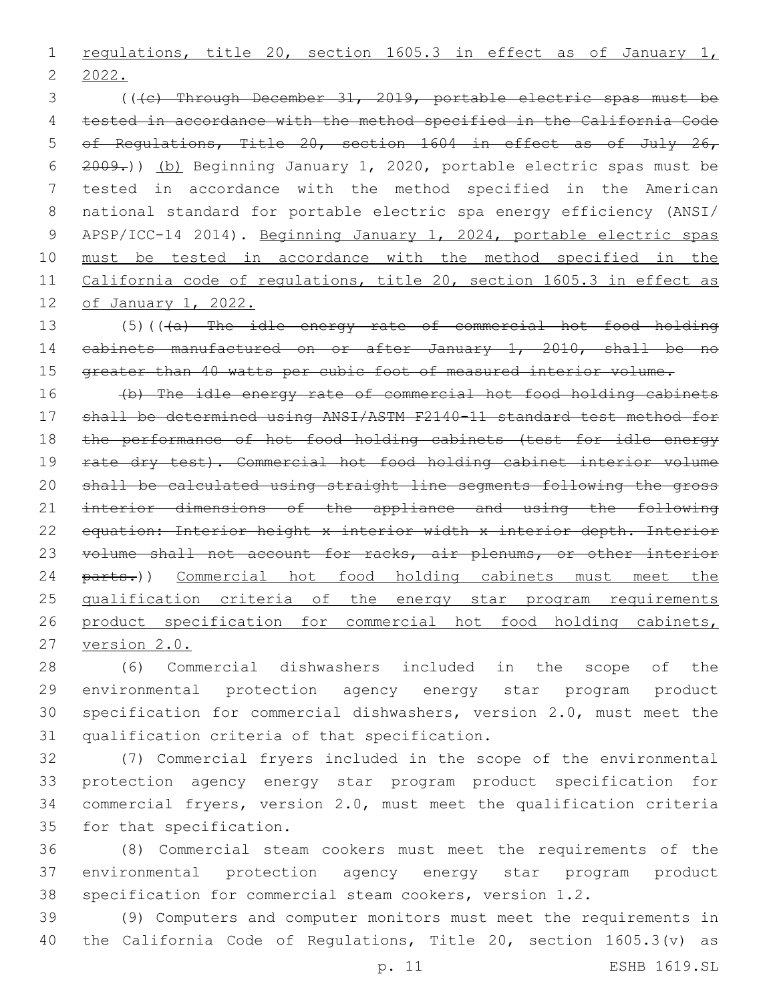1 regulations, title 20, section 1605.3 in effect as of January 1, 2022.

 (((c) Through December 31, 2019, portable electric spas must be tested in accordance with the method specified in the California Code of Regulations, Title 20, section 1604 in effect as of July 26, 2009.)) (b) Beginning January 1, 2020, portable electric spas must be tested in accordance with the method specified in the American national standard for portable electric spa energy efficiency (ANSI/ APSP/ICC-14 2014). Beginning January 1, 2024, portable electric spas must be tested in accordance with the method specified in the California code of regulations, title 20, section 1605.3 in effect as of January 1, 2022.

13 (5)(((a) The idle energy rate of commercial hot food holding cabinets manufactured on or after January 1, 2010, shall be no 15 greater than 40 watts per cubic foot of measured interior volume.

 (b) The idle energy rate of commercial hot food holding cabinets shall be determined using ANSI/ASTM F2140-11 standard test method for the performance of hot food holding cabinets (test for idle energy 19 rate dry test). Commercial hot food holding cabinet interior volume shall be calculated using straight line segments following the gross 21 interior dimensions of the appliance and using the following 22 equation: Interior height x interior width x interior depth. Interior 23 volume shall not account for racks, air plenums, or other interior 24 parts.)) Commercial hot food holding cabinets must meet the qualification criteria of the energy star program requirements 26 product specification for commercial hot food holding cabinets, version 2.0.

 (6) Commercial dishwashers included in the scope of the environmental protection agency energy star program product specification for commercial dishwashers, version 2.0, must meet the 31 qualification criteria of that specification.

 (7) Commercial fryers included in the scope of the environmental protection agency energy star program product specification for commercial fryers, version 2.0, must meet the qualification criteria 35 for that specification.

 (8) Commercial steam cookers must meet the requirements of the environmental protection agency energy star program product specification for commercial steam cookers, version 1.2.

 (9) Computers and computer monitors must meet the requirements in the California Code of Regulations, Title 20, section 1605.3(v) as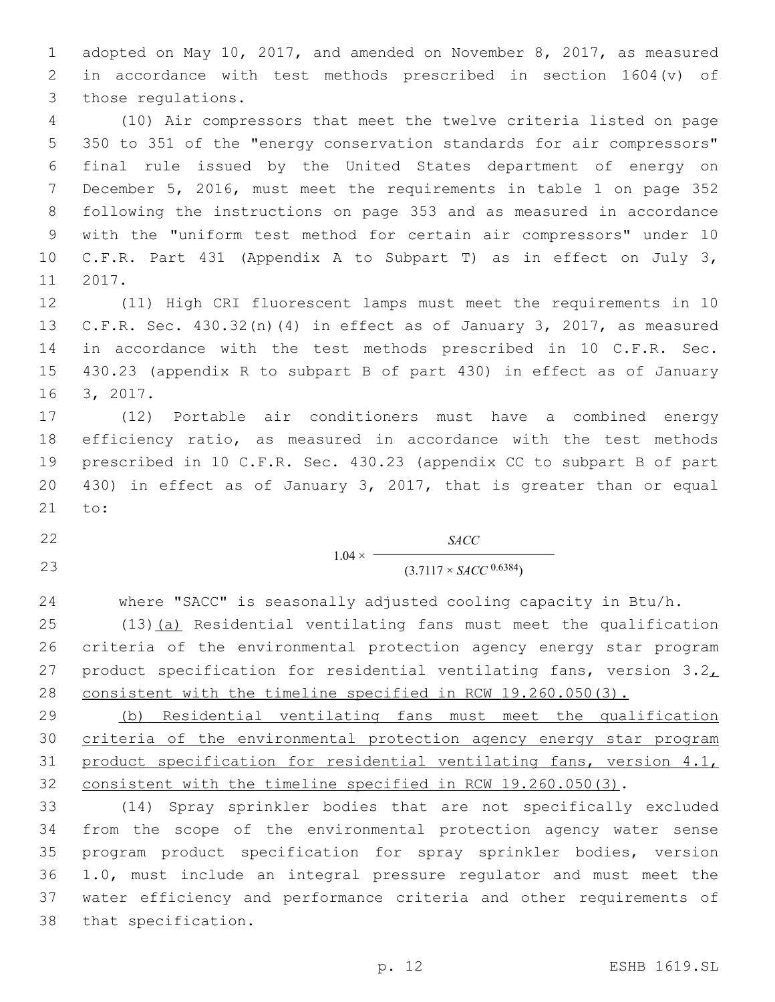adopted on May 10, 2017, and amended on November 8, 2017, as measured in accordance with test methods prescribed in section 1604(v) of 3 those regulations.

 (10) Air compressors that meet the twelve criteria listed on page 350 to 351 of the "energy conservation standards for air compressors" final rule issued by the United States department of energy on December 5, 2016, must meet the requirements in table 1 on page 352 following the instructions on page 353 and as measured in accordance with the "uniform test method for certain air compressors" under 10 C.F.R. Part 431 (Appendix A to Subpart T) as in effect on July 3, 11 2017.

 (11) High CRI fluorescent lamps must meet the requirements in 10 C.F.R. Sec. 430.32(n)(4) in effect as of January 3, 2017, as measured in accordance with the test methods prescribed in 10 C.F.R. Sec. 430.23 (appendix R to subpart B of part 430) in effect as of January 16 3, 2017.

 (12) Portable air conditioners must have a combined energy efficiency ratio, as measured in accordance with the test methods prescribed in 10 C.F.R. Sec. 430.23 (appendix CC to subpart B of part 430) in effect as of January 3, 2017, that is greater than or equal 21 to:

 $1.04 \times$ *SACC* 23 (3.7117 × *SACC* <sup>0.6384</sup>)

where "SACC" is seasonally adjusted cooling capacity in Btu/h.

 (13)(a) Residential ventilating fans must meet the qualification criteria of the environmental protection agency energy star program 27 product specification for residential ventilating fans, version  $3.2<sub>L</sub>$ consistent with the timeline specified in RCW 19.260.050(3).

 (b) Residential ventilating fans must meet the qualification criteria of the environmental protection agency energy star program product specification for residential ventilating fans, version 4.1, consistent with the timeline specified in RCW 19.260.050(3).

 (14) Spray sprinkler bodies that are not specifically excluded from the scope of the environmental protection agency water sense program product specification for spray sprinkler bodies, version 1.0, must include an integral pressure regulator and must meet the water efficiency and performance criteria and other requirements of 38 that specification.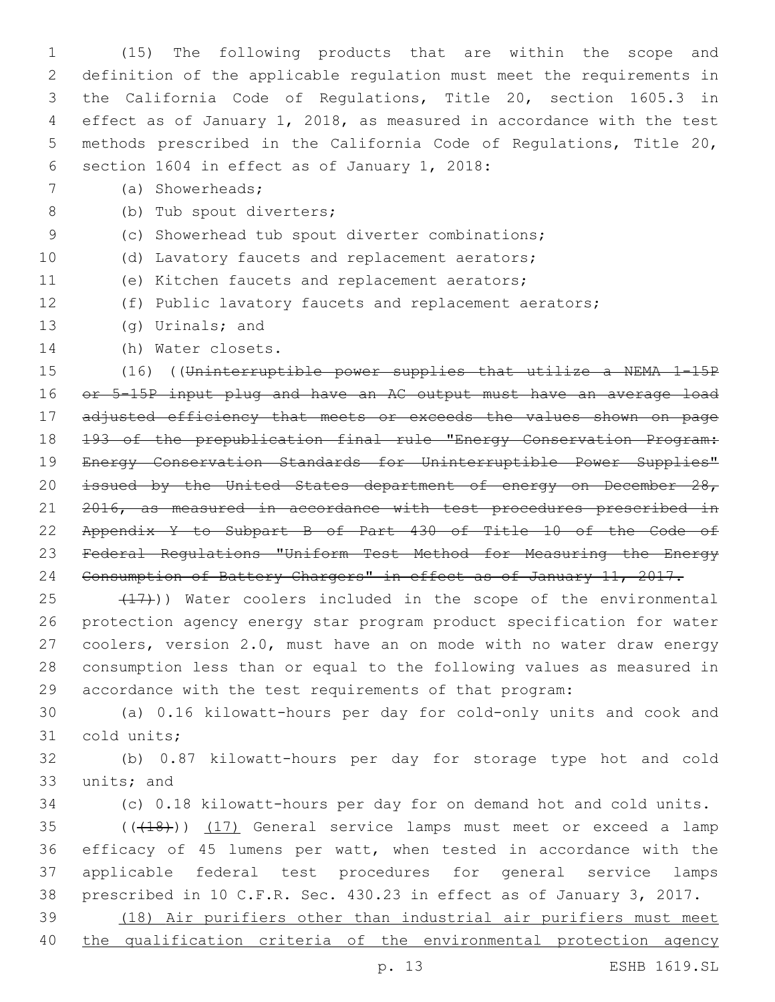(15) The following products that are within the scope and definition of the applicable regulation must meet the requirements in the California Code of Regulations, Title 20, section 1605.3 in effect as of January 1, 2018, as measured in accordance with the test methods prescribed in the California Code of Regulations, Title 20, 6 section 1604 in effect as of January 1, 2018:

(a) Showerheads;7

8 (b) Tub spout diverters;

- (c) Showerhead tub spout diverter combinations;
- (d) Lavatory faucets and replacement aerators;
- 11 (e) Kitchen faucets and replacement aerators;
- (f) Public lavatory faucets and replacement aerators;
- 13 (g) Urinals; and
- 14 (h) Water closets.

 (16) ((Uninterruptible power supplies that utilize a NEMA 1-15P or 5-15P input plug and have an AC output must have an average load adjusted efficiency that meets or exceeds the values shown on page 193 of the prepublication final rule "Energy Conservation Program: Energy Conservation Standards for Uninterruptible Power Supplies" 20 issued by the United States department of energy on December 28, 21 2016, as measured in accordance with test procedures prescribed in Appendix Y to Subpart B of Part 430 of Title 10 of the Code of Federal Regulations "Uniform Test Method for Measuring the Energy Consumption of Battery Chargers" in effect as of January 11, 2017.

25 (17)) Water coolers included in the scope of the environmental protection agency energy star program product specification for water coolers, version 2.0, must have an on mode with no water draw energy consumption less than or equal to the following values as measured in accordance with the test requirements of that program:

 (a) 0.16 kilowatt-hours per day for cold-only units and cook and 31 cold units;

 (b) 0.87 kilowatt-hours per day for storage type hot and cold 33 units; and

(c) 0.18 kilowatt-hours per day for on demand hot and cold units.

35 (((418))) (17) General service lamps must meet or exceed a lamp efficacy of 45 lumens per watt, when tested in accordance with the applicable federal test procedures for general service lamps prescribed in 10 C.F.R. Sec. 430.23 in effect as of January 3, 2017.

 (18) Air purifiers other than industrial air purifiers must meet 40 the qualification criteria of the environmental protection agency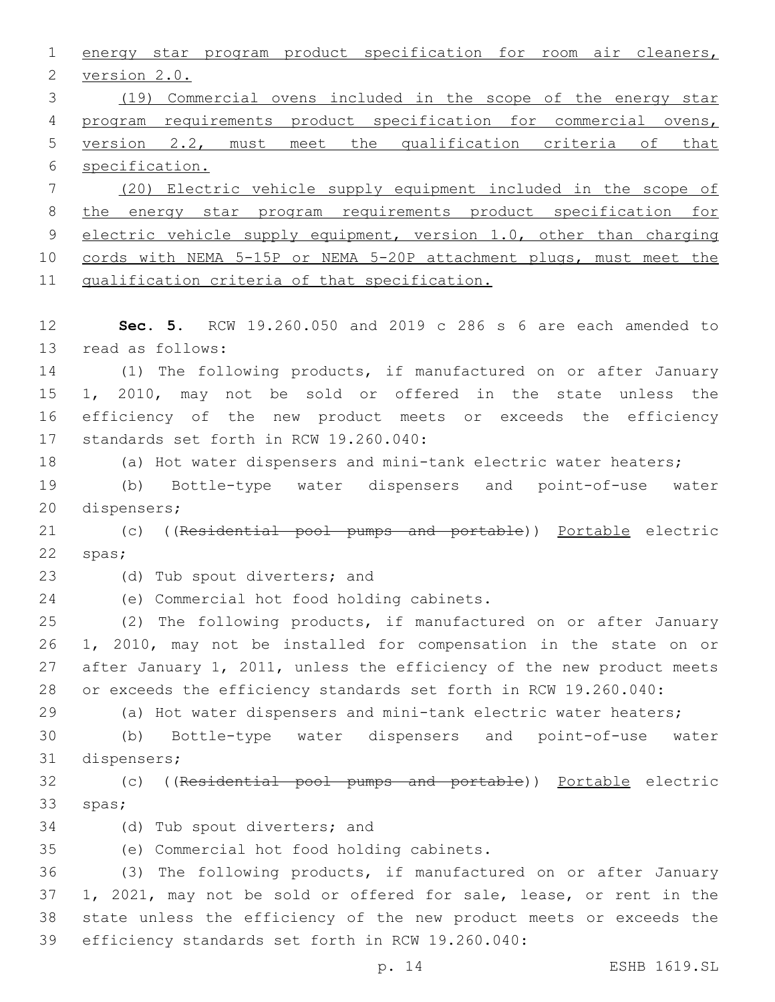energy star program product specification for room air cleaners, 2 version 2.0. (19) Commercial ovens included in the scope of the energy star program requirements product specification for commercial ovens, version 2.2, must meet the qualification criteria of that specification. (20) Electric vehicle supply equipment included in the scope of the energy star program requirements product specification for 9 electric vehicle supply equipment, version 1.0, other than charging cords with NEMA 5-15P or NEMA 5-20P attachment plugs, must meet the qualification criteria of that specification. **Sec. 5.** RCW 19.260.050 and 2019 c 286 s 6 are each amended to 13 read as follows: (1) The following products, if manufactured on or after January 1, 2010, may not be sold or offered in the state unless the efficiency of the new product meets or exceeds the efficiency 17 standards set forth in RCW 19.260.040: (a) Hot water dispensers and mini-tank electric water heaters; (b) Bottle-type water dispensers and point-of-use water 20 dispensers; 21 (c) ((Residential pool pumps and portable)) Portable electric 22 spas; 23 (d) Tub spout diverters; and 24 (e) Commercial hot food holding cabinets. (2) The following products, if manufactured on or after January 1, 2010, may not be installed for compensation in the state on or after January 1, 2011, unless the efficiency of the new product meets or exceeds the efficiency standards set forth in RCW 19.260.040: (a) Hot water dispensers and mini-tank electric water heaters; (b) Bottle-type water dispensers and point-of-use water 31 dispensers; (c) ((Residential pool pumps and portable)) Portable electric 33 spas; 34 (d) Tub spout diverters; and (e) Commercial hot food holding cabinets.35 (3) The following products, if manufactured on or after January 1, 2021, may not be sold or offered for sale, lease, or rent in the state unless the efficiency of the new product meets or exceeds the 39 efficiency standards set forth in RCW 19.260.040:

p. 14 ESHB 1619.SL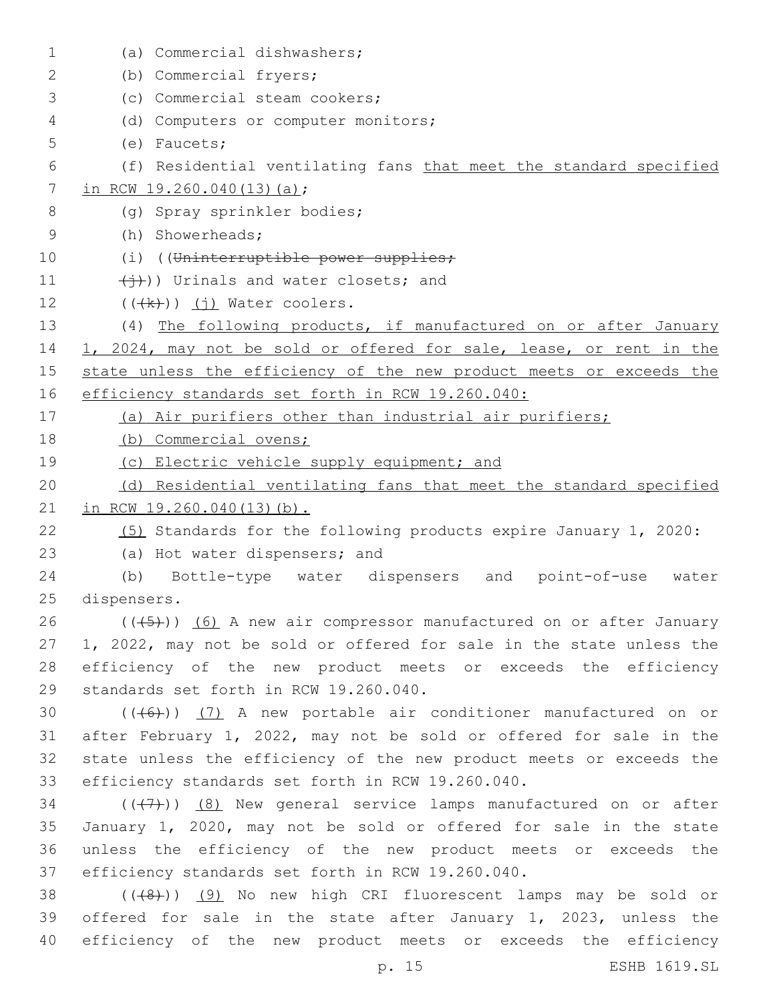| $\mathbf 1$ | (a) Commercial dishwashers;                                          |
|-------------|----------------------------------------------------------------------|
| 2           | (b) Commercial fryers;                                               |
| 3           | (c) Commercial steam cookers;                                        |
| 4           | (d) Computers or computer monitors;                                  |
| 5           | $(e)$ Faucets;                                                       |
| 6           | (f) Residential ventilating fans that meet the standard specified    |
| 7           | in RCW 19.260.040(13)(a);                                            |
| 8           | (q) Spray sprinkler bodies;                                          |
| 9           | (h) Showerheads;                                                     |
| 10          | (i) ((Uninterruptible power supplies;                                |
| 11          | $(\overleftrightarrow{+})$ ) Urinals and water closets; and          |
| 12          | $((\n+k))$ (j) Water coolers.                                        |
| 13          | (4) The following products, if manufactured on or after January      |
| 14          | 1, 2024, may not be sold or offered for sale, lease, or rent in the  |
| 15          | state unless the efficiency of the new product meets or exceeds the  |
| 16          | efficiency standards set forth in RCW 19.260.040:                    |
| 17          | (a) Air purifiers other than industrial air purifiers;               |
| 18          | (b) Commercial ovens;                                                |
| 19          | (c) Electric vehicle supply equipment; and                           |
| 20          | (d) Residential ventilating fans that meet the standard specified    |
| 21          | in RCW 19.260.040(13)(b).                                            |
| 22          | (5) Standards for the following products expire January 1, 2020:     |
| 23          | (a) Hot water dispensers; and                                        |
| 24          | (b) Bottle-type water dispensers and point-of-use water              |
| 25          | dispensers.                                                          |
| 26          | $((+5))$ (6) A new air compressor manufactured on or after January   |
| 27          | 1, 2022, may not be sold or offered for sale in the state unless the |
| 28          | efficiency of the new product meets or exceeds the efficiency        |
| 29          | standards set forth in RCW 19.260.040.                               |
| 30          | $((+6))$ (7) A new portable air conditioner manufactured on or       |
| 31          | after February 1, 2022, may not be sold or offered for sale in the   |
| 32          | state unless the efficiency of the new product meets or exceeds the  |
| 33          | efficiency standards set forth in RCW 19.260.040.                    |
| 34          | $((+7))$ (8) New general service lamps manufactured on or after      |
| 35          | January 1, 2020, may not be sold or offered for sale in the state    |
| 36          | unless the efficiency of the new product meets or exceeds the        |
| 37          | efficiency standards set forth in RCW 19.260.040.                    |
| 38          | $((+8+))$ (9) No new high CRI fluorescent lamps may be sold or       |
| 39          | offered for sale in the state after January 1, 2023, unless the      |
| 40          | efficiency of the new product meets or exceeds the efficiency        |
|             | ESHB 1619.SL<br>p. 15                                                |